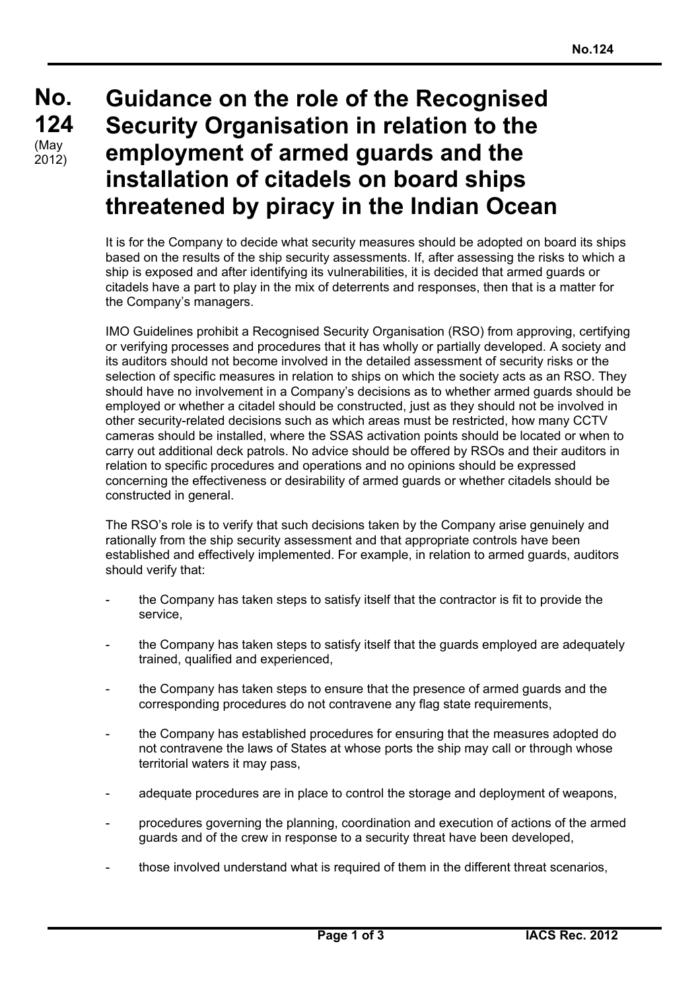## **No. No. 124 124**  $(May)$ 2012)

## **Guidance on the role of the Recognised Security Organisation in relation to the employment of armed guards and the installation of citadels on board ships threatened by piracy in the Indian Ocean**

It is for the Company to decide what security measures should be adopted on board its ships based on the results of the ship security assessments. If, after assessing the risks to which a ship is exposed and after identifying its vulnerabilities, it is decided that armed guards or citadels have a part to play in the mix of deterrents and responses, then that is a matter for the Company's managers.

IMO Guidelines prohibit a Recognised Security Organisation (RSO) from approving, certifying or verifying processes and procedures that it has wholly or partially developed. A society and its auditors should not become involved in the detailed assessment of security risks or the selection of specific measures in relation to ships on which the society acts as an RSO. They should have no involvement in a Company's decisions as to whether armed guards should be employed or whether a citadel should be constructed, just as they should not be involved in other security-related decisions such as which areas must be restricted, how many CCTV cameras should be installed, where the SSAS activation points should be located or when to carry out additional deck patrols. No advice should be offered by RSOs and their auditors in relation to specific procedures and operations and no opinions should be expressed concerning the effectiveness or desirability of armed guards or whether citadels should be constructed in general.

The RSO's role is to verify that such decisions taken by the Company arise genuinely and rationally from the ship security assessment and that appropriate controls have been established and effectively implemented. For example, in relation to armed guards, auditors should verify that:

- the Company has taken steps to satisfy itself that the contractor is fit to provide the service,
- the Company has taken steps to satisfy itself that the quards employed are adequately trained, qualified and experienced,
- the Company has taken steps to ensure that the presence of armed guards and the corresponding procedures do not contravene any flag state requirements,
- the Company has established procedures for ensuring that the measures adopted do not contravene the laws of States at whose ports the ship may call or through whose territorial waters it may pass,
- adequate procedures are in place to control the storage and deployment of weapons,
- procedures governing the planning, coordination and execution of actions of the armed guards and of the crew in response to a security threat have been developed,
- those involved understand what is required of them in the different threat scenarios,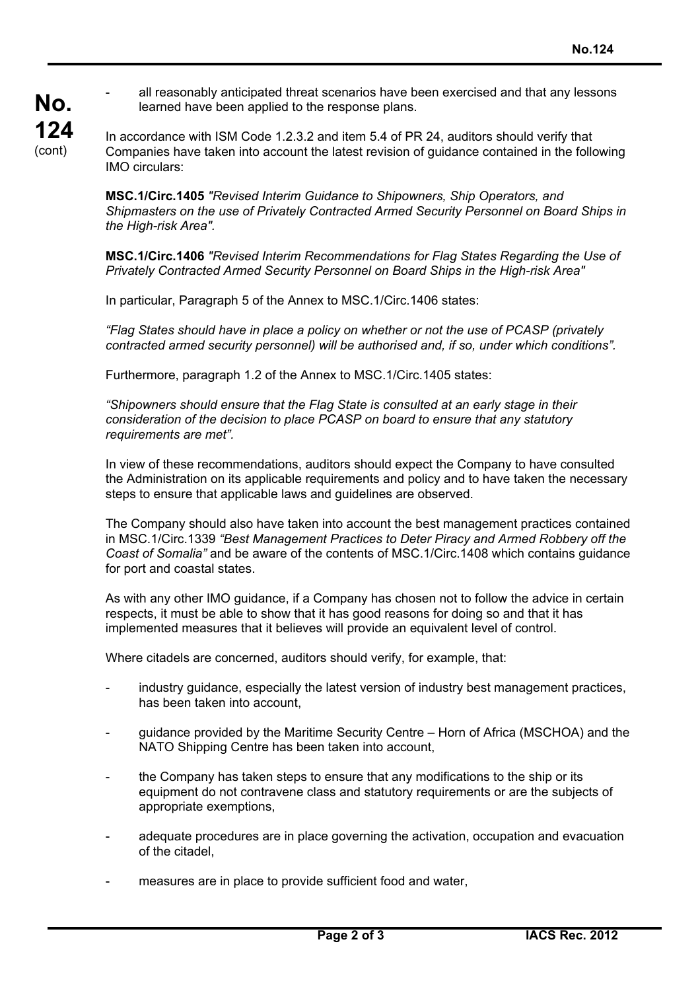all reasonably anticipated threat scenarios have been exercised and that any lessons learned have been applied to the response plans.

In accordance with ISM Code 1.2.3.2 and item 5.4 of PR 24, auditors should verify that Companies have taken into account the latest revision of guidance contained in the following IMO circulars:

**MSC.1/Circ.1405** *"Revised Interim Guidance to Shipowners, Ship Operators, and Shipmasters on the use of Privately Contracted Armed Security Personnel on Board Ships in the High-risk Area".*

**MSC.1/Circ.1406** *"Revised Interim Recommendations for Flag States Regarding the Use of Privately Contracted Armed Security Personnel on Board Ships in the High-risk Area"*

In particular, Paragraph 5 of the Annex to MSC.1/Circ.1406 states:

*"Flag States should have in place a policy on whether or not the use of PCASP (privately contracted armed security personnel) will be authorised and, if so, under which conditions".*

Furthermore, paragraph 1.2 of the Annex to MSC.1/Circ.1405 states:

*"Shipowners should ensure that the Flag State is consulted at an early stage in their consideration of the decision to place PCASP on board to ensure that any statutory requirements are met".*

In view of these recommendations, auditors should expect the Company to have consulted the Administration on its applicable requirements and policy and to have taken the necessary steps to ensure that applicable laws and guidelines are observed.

The Company should also have taken into account the best management practices contained in MSC.1/Circ.1339 *"Best Management Practices to Deter Piracy and Armed Robbery off the Coast of Somalia"* and be aware of the contents of MSC.1/Circ.1408 which contains guidance for port and coastal states.

As with any other IMO guidance, if a Company has chosen not to follow the advice in certain respects, it must be able to show that it has good reasons for doing so and that it has implemented measures that it believes will provide an equivalent level of control.

Where citadels are concerned, auditors should verify, for example, that:

- industry guidance, especially the latest version of industry best management practices, has been taken into account,
- guidance provided by the Maritime Security Centre Horn of Africa (MSCHOA) and the NATO Shipping Centre has been taken into account,
- the Company has taken steps to ensure that any modifications to the ship or its equipment do not contravene class and statutory requirements or are the subjects of appropriate exemptions,
- adequate procedures are in place governing the activation, occupation and evacuation of the citadel,
- measures are in place to provide sufficient food and water,